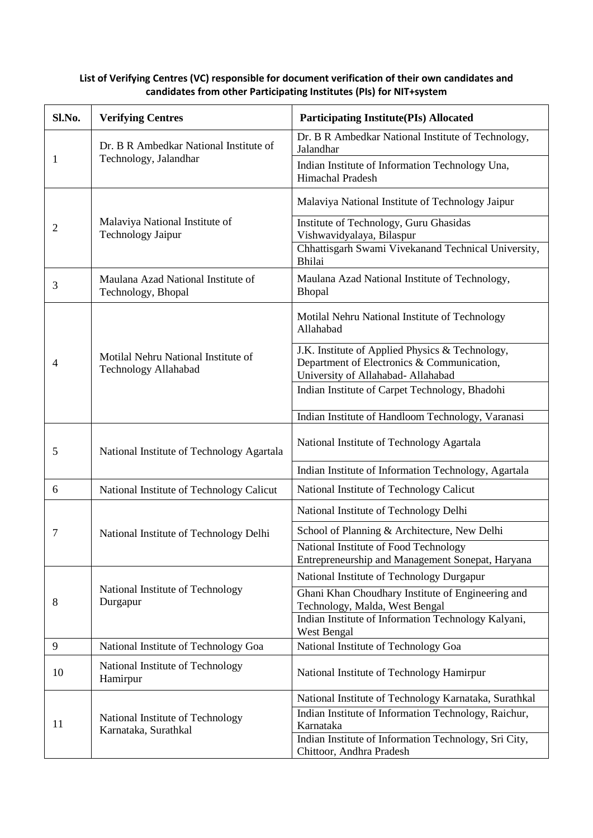| Sl.No.         | <b>Verifying Centres</b>                                        | <b>Participating Institute(PIs) Allocated</b>                                                                                       |
|----------------|-----------------------------------------------------------------|-------------------------------------------------------------------------------------------------------------------------------------|
| 1              | Dr. B R Ambedkar National Institute of<br>Technology, Jalandhar | Dr. B R Ambedkar National Institute of Technology,<br>Jalandhar                                                                     |
|                |                                                                 | Indian Institute of Information Technology Una,<br>Himachal Pradesh                                                                 |
| $\overline{2}$ | Malaviya National Institute of<br><b>Technology Jaipur</b>      | Malaviya National Institute of Technology Jaipur                                                                                    |
|                |                                                                 | Institute of Technology, Guru Ghasidas<br>Vishwavidyalaya, Bilaspur                                                                 |
|                |                                                                 | Chhattisgarh Swami Vivekanand Technical University,<br>Bhilai                                                                       |
| 3              | Maulana Azad National Institute of<br>Technology, Bhopal        | Maulana Azad National Institute of Technology,<br><b>Bhopal</b>                                                                     |
| 4              | Motilal Nehru National Institute of<br>Technology Allahabad     | Motilal Nehru National Institute of Technology<br>Allahabad                                                                         |
|                |                                                                 | J.K. Institute of Applied Physics & Technology,<br>Department of Electronics & Communication,<br>University of Allahabad- Allahabad |
|                |                                                                 | Indian Institute of Carpet Technology, Bhadohi                                                                                      |
|                |                                                                 | Indian Institute of Handloom Technology, Varanasi                                                                                   |
| 5              | National Institute of Technology Agartala                       | National Institute of Technology Agartala                                                                                           |
|                |                                                                 | Indian Institute of Information Technology, Agartala                                                                                |
| 6              | National Institute of Technology Calicut                        | National Institute of Technology Calicut                                                                                            |
|                | National Institute of Technology Delhi                          | National Institute of Technology Delhi                                                                                              |
| 7              |                                                                 | School of Planning & Architecture, New Delhi                                                                                        |
|                |                                                                 | National Institute of Food Technology<br>Entrepreneurship and Management Sonepat, Haryana                                           |
| 8              | National Institute of Technology<br>Durgapur                    | National Institute of Technology Durgapur                                                                                           |
|                |                                                                 | Ghani Khan Choudhary Institute of Engineering and<br>Technology, Malda, West Bengal                                                 |
|                |                                                                 | Indian Institute of Information Technology Kalyani,<br>West Bengal                                                                  |
| 9              | National Institute of Technology Goa                            | National Institute of Technology Goa                                                                                                |
| 10             | National Institute of Technology<br>Hamirpur                    | National Institute of Technology Hamirpur                                                                                           |
| 11             | National Institute of Technology<br>Karnataka, Surathkal        | National Institute of Technology Karnataka, Surathkal                                                                               |
|                |                                                                 | Indian Institute of Information Technology, Raichur,<br>Karnataka                                                                   |
|                |                                                                 | Indian Institute of Information Technology, Sri City,<br>Chittoor, Andhra Pradesh                                                   |

## **List of Verifying Centres (VC) responsible for document verification of their own candidates and candidates from other Participating Institutes (PIs) for NIT+system**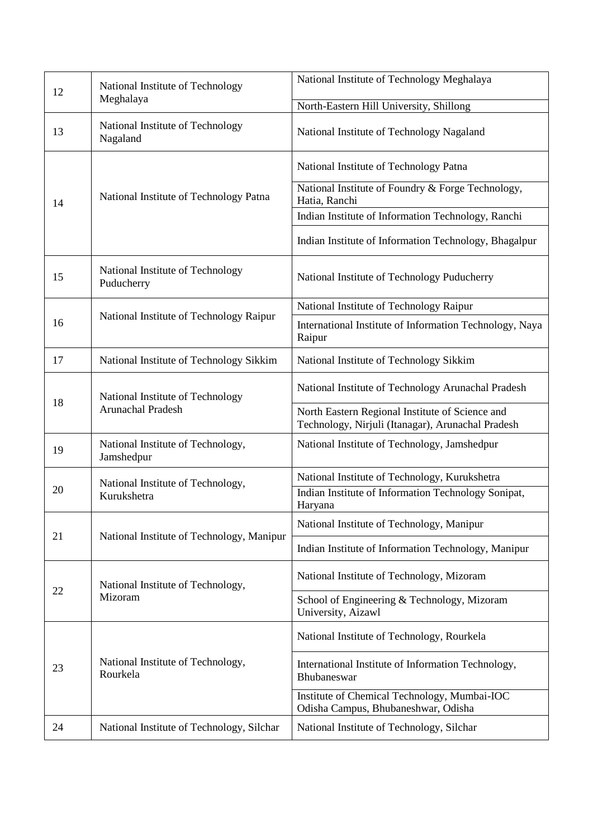| 12 | National Institute of Technology                 | National Institute of Technology Meghalaya                                                           |
|----|--------------------------------------------------|------------------------------------------------------------------------------------------------------|
|    | Meghalaya                                        | North-Eastern Hill University, Shillong                                                              |
| 13 | National Institute of Technology<br>Nagaland     | National Institute of Technology Nagaland                                                            |
|    | National Institute of Technology Patna           | National Institute of Technology Patna                                                               |
| 14 |                                                  | National Institute of Foundry & Forge Technology,<br>Hatia, Ranchi                                   |
|    |                                                  | Indian Institute of Information Technology, Ranchi                                                   |
|    |                                                  | Indian Institute of Information Technology, Bhagalpur                                                |
| 15 | National Institute of Technology<br>Puducherry   | National Institute of Technology Puducherry                                                          |
|    |                                                  | National Institute of Technology Raipur                                                              |
| 16 | National Institute of Technology Raipur          | International Institute of Information Technology, Naya<br>Raipur                                    |
| 17 | National Institute of Technology Sikkim          | National Institute of Technology Sikkim                                                              |
| 18 | National Institute of Technology                 | National Institute of Technology Arunachal Pradesh                                                   |
|    | Arunachal Pradesh                                | North Eastern Regional Institute of Science and<br>Technology, Nirjuli (Itanagar), Arunachal Pradesh |
| 19 | National Institute of Technology,<br>Jamshedpur  | National Institute of Technology, Jamshedpur                                                         |
|    | National Institute of Technology,<br>Kurukshetra | National Institute of Technology, Kurukshetra                                                        |
| 20 |                                                  | Indian Institute of Information Technology Sonipat,<br>Haryana                                       |
|    | National Institute of Technology, Manipur        | National Institute of Technology, Manipur                                                            |
| 21 |                                                  | Indian Institute of Information Technology, Manipur                                                  |
| 22 | National Institute of Technology,<br>Mizoram     | National Institute of Technology, Mizoram                                                            |
|    |                                                  | School of Engineering & Technology, Mizoram<br>University, Aizawl                                    |
| 23 | National Institute of Technology,<br>Rourkela    | National Institute of Technology, Rourkela                                                           |
|    |                                                  | International Institute of Information Technology,<br>Bhubaneswar                                    |
|    |                                                  | Institute of Chemical Technology, Mumbai-IOC<br>Odisha Campus, Bhubaneshwar, Odisha                  |
| 24 | National Institute of Technology, Silchar        | National Institute of Technology, Silchar                                                            |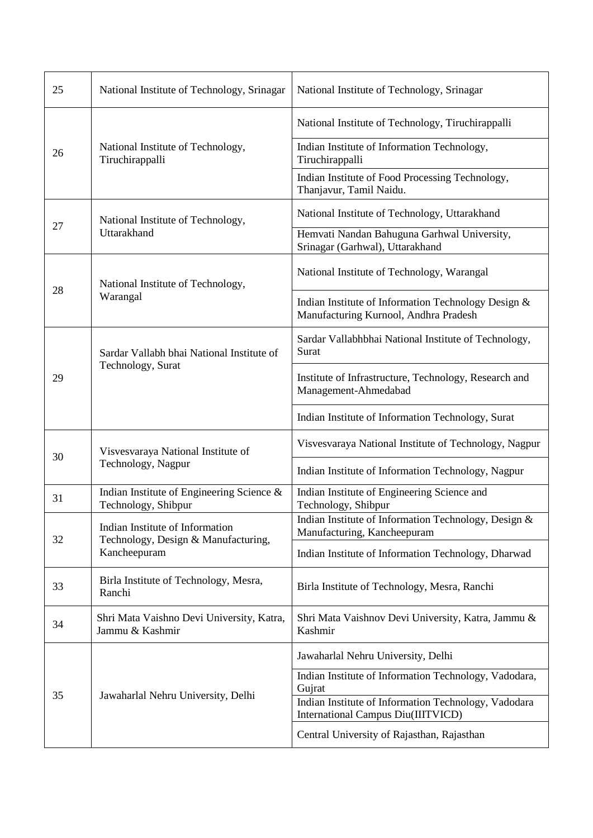| 25 | National Institute of Technology, Srinagar                                             | National Institute of Technology, Srinagar                                                   |
|----|----------------------------------------------------------------------------------------|----------------------------------------------------------------------------------------------|
| 26 | National Institute of Technology,<br>Tiruchirappalli                                   | National Institute of Technology, Tiruchirappalli                                            |
|    |                                                                                        | Indian Institute of Information Technology,<br>Tiruchirappalli                               |
|    |                                                                                        | Indian Institute of Food Processing Technology,<br>Thanjavur, Tamil Naidu.                   |
| 27 | National Institute of Technology,<br>Uttarakhand                                       | National Institute of Technology, Uttarakhand                                                |
|    |                                                                                        | Hemvati Nandan Bahuguna Garhwal University,<br>Srinagar (Garhwal), Uttarakhand               |
| 28 | National Institute of Technology,<br>Warangal                                          | National Institute of Technology, Warangal                                                   |
|    |                                                                                        | Indian Institute of Information Technology Design &<br>Manufacturing Kurnool, Andhra Pradesh |
| 29 | Sardar Vallabh bhai National Institute of<br>Technology, Surat                         | Sardar Vallabhbhai National Institute of Technology,<br>Surat                                |
|    |                                                                                        | Institute of Infrastructure, Technology, Research and<br>Management-Ahmedabad                |
|    |                                                                                        | Indian Institute of Information Technology, Surat                                            |
| 30 | Visvesvaraya National Institute of<br>Technology, Nagpur                               | Visvesvaraya National Institute of Technology, Nagpur                                        |
|    |                                                                                        | Indian Institute of Information Technology, Nagpur                                           |
| 31 | Indian Institute of Engineering Science &<br>Technology, Shibpur                       | Indian Institute of Engineering Science and<br>Technology, Shibpur                           |
| 32 | Indian Institute of Information<br>Technology, Design & Manufacturing,<br>Kancheepuram | Indian Institute of Information Technology, Design &<br>Manufacturing, Kancheepuram          |
|    |                                                                                        | Indian Institute of Information Technology, Dharwad                                          |
| 33 | Birla Institute of Technology, Mesra,<br>Ranchi                                        | Birla Institute of Technology, Mesra, Ranchi                                                 |
| 34 | Shri Mata Vaishno Devi University, Katra,<br>Jammu & Kashmir                           | Shri Mata Vaishnov Devi University, Katra, Jammu &<br>Kashmir                                |
| 35 | Jawaharlal Nehru University, Delhi                                                     | Jawaharlal Nehru University, Delhi                                                           |
|    |                                                                                        | Indian Institute of Information Technology, Vadodara,<br>Gujrat                              |
|    |                                                                                        | Indian Institute of Information Technology, Vadodara<br>International Campus Diu(IIITVICD)   |
|    |                                                                                        | Central University of Rajasthan, Rajasthan                                                   |